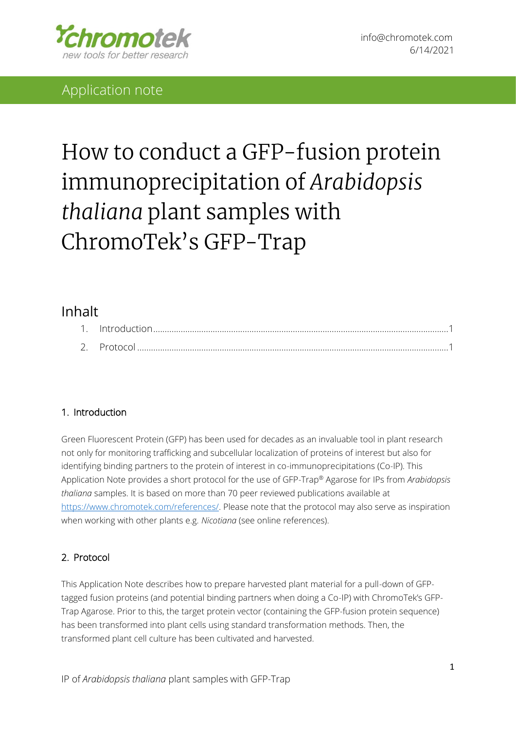

# Application note

# How to conduct a GFP-fusion protein immunoprecipitation of Arabidopsis thaliana plant samples with ChromoTek's GFP-Trap

## Inhalt

| 2 Protocol |  |
|------------|--|

## <span id="page-0-0"></span>1. Introduction

Green Fluorescent Protein (GFP) has been used for decades as an invaluable tool in plant research not only for monitoring trafficking and subcellular localization of proteins of interest but also for identifying binding partners to the protein of interest in co-immunoprecipitations (Co-IP). This Application Note provides a short protocol for the use of GFP-Trap® Agarose for IPs from *Arabidopsis thaliana* samples. It is based on more than 70 peer reviewed publications available at [https://www.chromotek.com/references/.](https://www.chromotek.com/references/) Please note that the protocol may also serve as inspiration when working with other plants e.g. *Nicotiana* (see online references).

## <span id="page-0-1"></span>2. Protocol

This Application Note describes how to prepare harvested plant material for a pull-down of GFPtagged fusion proteins (and potential binding partners when doing a Co-IP) with ChromoTek's GFP-Trap Agarose. Prior to this, the target protein vector (containing the GFP-fusion protein sequence) has been transformed into plant cells using standard transformation methods. Then, the transformed plant cell culture has been cultivated and harvested.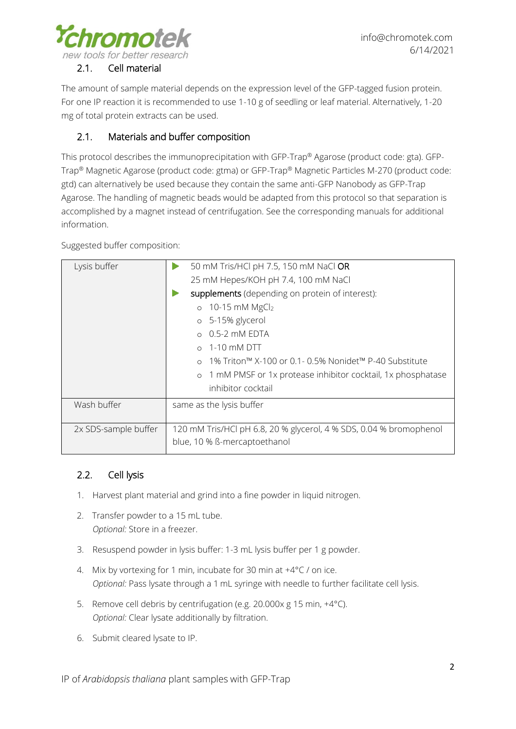

### 2.1. Cell material

The amount of sample material depends on the expression level of the GFP-tagged fusion protein. For one IP reaction it is recommended to use 1-10 g of seedling or leaf material. Alternatively, 1-20 mg of total protein extracts can be used.

## 2.1. Materials and buffer composition

This protocol describes the immunoprecipitation with GFP-Trap® Agarose (product code: gta). GFP-Trap® Magnetic Agarose (product code: gtma) or GFP-Trap® Magnetic Particles M-270 (product code: gtd) can alternatively be used because they contain the same anti-GFP Nanobody as GFP-Trap Agarose. The handling of magnetic beads would be adapted from this protocol so that separation is accomplished by a magnet instead of centrifugation. See the corresponding manuals for additional information.

Suggested buffer composition:

| Lysis buffer         | 50 mM Tris/HCl pH 7.5, 150 mM NaCl OR                                  |
|----------------------|------------------------------------------------------------------------|
|                      | 25 mM Hepes/KOH pH 7.4, 100 mM NaCl                                    |
|                      | supplements (depending on protein of interest):                        |
|                      | $\circ$ 10-15 mM MgCl <sub>2</sub>                                     |
|                      | o 5-15% glycerol                                                       |
|                      | $\circ$ 0.5-2 mM EDTA                                                  |
|                      | 1-10 mM DTT                                                            |
|                      | -1% Triton™ X-100 or 0.1- 0.5% Nonidet™ P-40 Substitute<br>$\Omega$    |
|                      | 1 mM PMSF or 1x protease inhibitor cocktail, 1x phosphatase<br>$\circ$ |
|                      | inhibitor cocktail                                                     |
| Wash buffer          | same as the lysis buffer                                               |
|                      |                                                                        |
| 2x SDS-sample buffer | 120 mM Tris/HCl pH 6.8, 20 % glycerol, 4 % SDS, 0.04 % bromophenol     |
|                      | blue, 10 % ß-mercaptoethanol                                           |

## 2.2. Cell lysis

- 1. Harvest plant material and grind into a fine powder in liquid nitrogen.
- 2. Transfer powder to a 15 mL tube. *Optional:* Store in a freezer.
- 3. Resuspend powder in lysis buffer: 1-3 mL lysis buffer per 1 g powder.
- 4. Mix by vortexing for 1 min, incubate for 30 min at  $+4^{\circ}$ C / on ice. *Optional:* Pass lysate through a 1 mL syringe with needle to further facilitate cell lysis.
- 5. Remove cell debris by centrifugation (e.g. 20.000x g 15 min, +4°C). *Optional:* Clear lysate additionally by filtration.
- 6. Submit cleared lysate to IP.